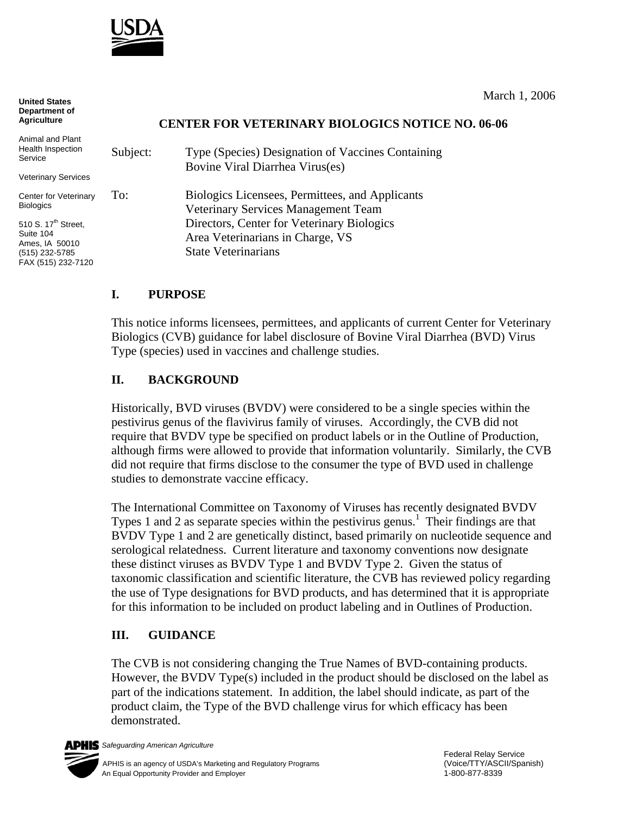

**United States Department of Agriculture**

March 1, 2006

#### **CENTER FOR VETERINARY BIOLOGICS NOTICE NO. 06-06**

| Animal and Plant<br>Health Inspection<br>Service                                                       | Subject:                          | Type (Species) Designation of Vaccines Containing<br>Bovine Viral Diarrhea Virus(es)   |
|--------------------------------------------------------------------------------------------------------|-----------------------------------|----------------------------------------------------------------------------------------|
| Veterinary Services                                                                                    |                                   |                                                                                        |
| Center for Veterinary<br><b>Biologics</b>                                                              | To:<br><b>State Veterinarians</b> | Biologics Licensees, Permittees, and Applicants<br>Veterinary Services Management Team |
| 510 S. 17 <sup>th</sup> Street,<br>Suite 104<br>Ames, IA 50010<br>(515) 232-5785<br>FAX (515) 232-7120 |                                   | Directors, Center for Veterinary Biologics<br>Area Veterinarians in Charge, VS         |

### **I. PURPOSE**

This notice informs licensees, permittees, and applicants of current Center for Veterinary Biologics (CVB) guidance for label disclosure of Bovine Viral Diarrhea (BVD) Virus Type (species) used in vaccines and challenge studies.

#### **II. BACKGROUND**

Historically, BVD viruses (BVDV) were considered to be a single species within the pestivirus genus of the flavivirus family of viruses. Accordingly, the CVB did not require that BVDV type be specified on product labels or in the Outline of Production, although firms were allowed to provide that information voluntarily. Similarly, the CVB did not require that firms disclose to the consumer the type of BVD used in challenge studies to demonstrate vaccine efficacy.

The International Committee on Taxonomy of Viruses has recently designated BVDV Types 1 and 2 as separate species within the pestivirus genus.<sup>1</sup> Their findings are that BVDV Type 1 and 2 are genetically distinct, based primarily on nucleotide sequence and serological relatedness. Current literature and taxonomy conventions now designate these distinct viruses as BVDV Type 1 and BVDV Type 2. Given the status of taxonomic classification and scientific literature, the CVB has reviewed policy regarding the use of Type designations for BVD products, and has determined that it is appropriate for this information to be included on product labeling and in Outlines of Production.

### **III. GUIDANCE**

The CVB is not considering changing the True Names of BVD-containing products. However, the BVDV Type(s) included in the product should be disclosed on the label as part of the indications statement. In addition, the label should indicate, as part of the product claim, the Type of the BVD challenge virus for which efficacy has been demonstrated.



*Safeguarding American Agriculture*